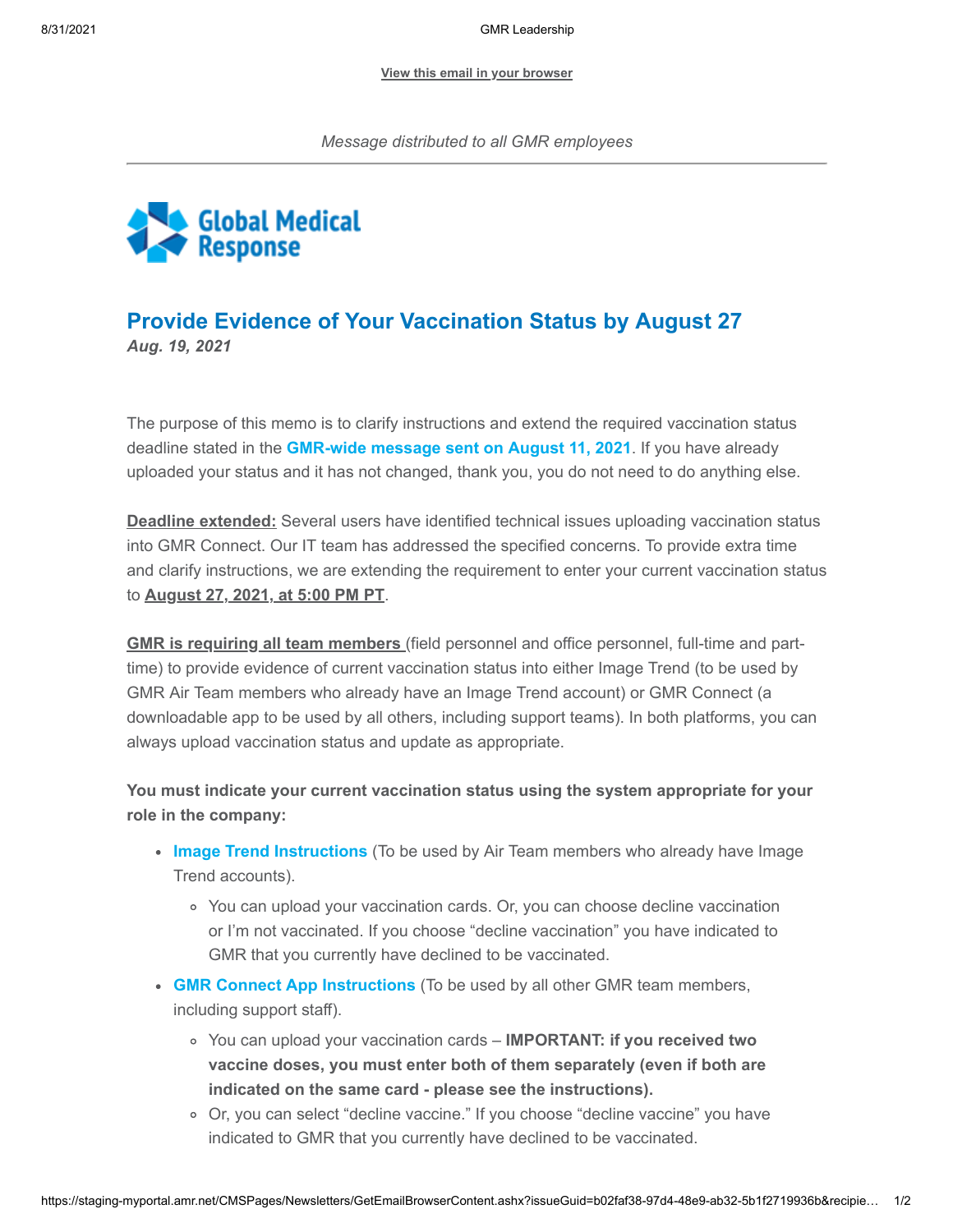**[View this email in your browser](https://staging-myportal.amr.net/CMSPages/Newsletters/GetEmailBrowserContent.ashx?issueGuid=b02faf38-97d4-48e9-ab32-5b1f2719936b&recipientEmail=peggy.norton%40gmr.net&hash=7275aaf987f54df34cef5540255cc026fde8da62d1e02dc20a55654d8f5dc233)**



## **Provide Evidence of Your Vaccination Status by August 27** *Aug. 19, 2021*

The purpose of this memo is to clarify instructions and extend the required vaccination status deadline stated in the **[GMR-wide message sent on August 11, 2021](https://staging-myportal.amr.net/CMSModules/Newsletters/CMSPages/Redirect.ashx?linkguid=e4393d02-0909-4f44-a19e-43efd34d026d&email=peggy.norton%40gmr.net&hash=3140291e2b2a1e1858d0fec43a08294ef1fe7d98429a054330346dd49db5b4b7)**. If you have already uploaded your status and it has not changed, thank you, you do not need to do anything else.

**Deadline extended:** Several users have identified technical issues uploading vaccination status into GMR Connect. Our IT team has addressed the specified concerns. To provide extra time and clarify instructions, we are extending the requirement to enter your current vaccination status to **August 27, 2021, at 5:00 PM PT**.

**GMR is requiring all team members** (field personnel and office personnel, full-time and parttime) to provide evidence of current vaccination status into either Image Trend (to be used by GMR Air Team members who already have an Image Trend account) or GMR Connect (a downloadable app to be used by all others, including support teams). In both platforms, you can always upload vaccination status and update as appropriate.

**You must indicate your current vaccination status using the system appropriate for your role in the company:**

- **[Image Trend Instructions](https://staging-myportal.amr.net/CMSModules/Newsletters/CMSPages/Redirect.ashx?linkguid=d2073a51-33c9-4767-a349-2b74c704be1e&email=peggy.norton%40gmr.net&hash=3140291e2b2a1e1858d0fec43a08294ef1fe7d98429a054330346dd49db5b4b7)** (To be used by Air Team members who already have Image Trend accounts).
	- You can upload your vaccination cards. Or, you can choose decline vaccination or I'm not vaccinated. If you choose "decline vaccination" you have indicated to GMR that you currently have declined to be vaccinated.
- **[GMR Connect App Instructions](https://staging-myportal.amr.net/CMSModules/Newsletters/CMSPages/Redirect.ashx?linkguid=ee7c9bc5-9cc1-42ea-bd2f-583a4e39a696&email=peggy.norton%40gmr.net&hash=3140291e2b2a1e1858d0fec43a08294ef1fe7d98429a054330346dd49db5b4b7)** (To be used by all other GMR team members, including support staff).
	- You can upload your vaccination cards **IMPORTANT: if you received two vaccine doses, you must enter both of them separately (even if both are indicated on the same card - please see the instructions).**
	- Or, you can select "decline vaccine." If you choose "decline vaccine" you have indicated to GMR that you currently have declined to be vaccinated.